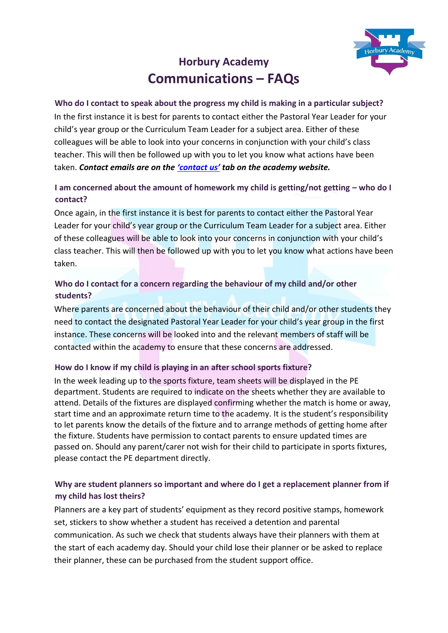

# **Horbury Academy Communications – FAQs**

**Who do I contact to speak about the progress my child is making in a particular subject?**  In the first instance it is best for parents to contact either the Pastoral Year Leader for your child's year group or the Curriculum Team Leader for a subject area. Either of these colleagues will be able to look into your concerns in conjunction with your child's class teacher. This will then be followed up with you to let you know what actions have been taken. *Contact emails are on the 'c[ontact](https://horbury.accordmat.org/contactus/) us' tab on the academy website.*

# **I** am concerned about the amount of homework my child is getting/not getting – who do I **contact?**

Once again, in the first instance it is best for parents to contact either the Pastoral Year Leader for your child's year group or the Curriculum Team Leader for a subject area. Either of these colleagues will be able to look into your concerns in conjunction with your child's class teacher. This will then be followed up with you to let you know what actions have been taken.

# **Who do I contact for a concern regarding the behaviour of my child and/or other students?**

Where parents are concerned about the behaviour of their child and/or other students they need to contact the designated Pastoral Year Leader for your child's year group in the first instance. These concerns will be looked into and the relevant members of staff will be contacted within the academy to ensure that these concerns are addressed.

# **How do I know if my child is playing in an after school sports fixture?**

In the week leading up to the sports fixture, team sheets will be displayed in the PE department. Students are required to indicate on the sheets whether they are available to attend. Details of the fixtures are displayed confirming whether the match is home or away, start time and an approximate return time to the academy. It is the student's responsibility to let parents know the details of the fixture and to arrange methods of getting home after the fixture. Students have permission to contact parents to ensure updated times are passed on. Should any parent/carer not wish for their child to participate in sports fixtures, please contact the PE department directly.

# **Why are student planners so important and where do I get a replacement planner from if my child has lost theirs?**

Planners are a key part of students' equipment as they record positive stamps, homework set, stickers to show whether a student has received a detention and parental communication. As such we check that students always have their planners with them at the start of each academy day. Should your child lose their planner or be asked to replace their planner, these can be purchased from the student support office.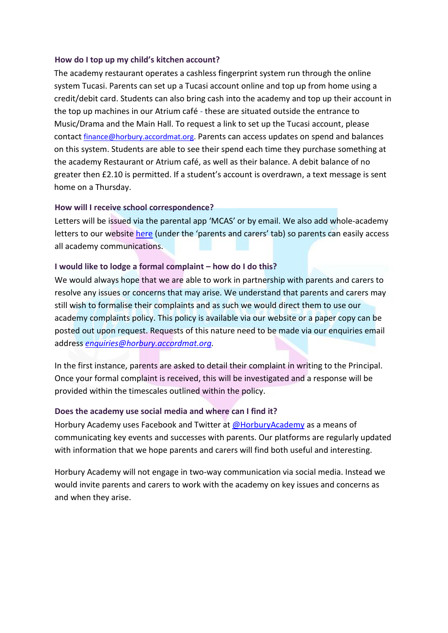#### **How do I top up my child's kitchen account?**

The academy restaurant operates a cashless fingerprint system run through the online system Tucasi. Parents can set up a Tucasi account online and top up from home using a credit/debit card. Students can also bring cash into the academy and top up their account in the top up machines in our Atrium café - these are situated outside the entrance to Music/Drama and the Main Hall. To request a link to set up the Tucasi account, please contact [finance@horbury.accordmat.org.](mailto:finance@horbury.accordmat.org) Parents can access updates on spend and balances on this system. Students are able to see their spend each time they purchase something at the academy Restaurant or Atrium café, as well as their balance. A debit balance of no greater then £2.10 is permitted. If a student's account is overdrawn, a text message is sent home on a Thursday.

#### **How will I receive school correspondence?**

Letters will be issued via the parental app 'MCAS' or by email. We also add whole-academy letters to our website [here](https://horbury.accordmat.org/letters-from-the-academy/) (under the 'parents and carers' tab) so parents can easily access all academy communications.

#### **I** would like to lodge a formal complaint – how do I do this?

We would always hope that we are able to work in partnership with parents and carers to resolve any issues or concerns that may arise. We understand that parents and carers may still wish to formalise their complaints and as such we would direct them to use our academy complaints policy. This policy is available via our website or a paper copy can be posted out upon request. Requests of this nature need to be made via our enquiries email address *[enquiries@horbury.accordmat.org.](mailto:enquiries@horbury.accordmat.org)*

In the first instance, parents are asked to detail their complaint in writing to the Principal. Once your formal complaint is received, this will be investigated and a response will be provided within the timescales outlined within the policy.

#### **Does the academy use social media and where can I find it?**

Horbury Academy uses Facebook and Twitter a[t @HorburyAcademy](https://twitter.com/HorburyAcademy?ref_src=twsrc%5Egoogle%7Ctwcamp%5Eserp%7Ctwgr%5Eauthor) as a means of communicating key events and successes with parents. Our platforms are regularly updated with information that we hope parents and carers will find both useful and interesting.

Horbury Academy will not engage in two-way communication via social media. Instead we would invite parents and carers to work with the academy on key issues and concerns as and when they arise.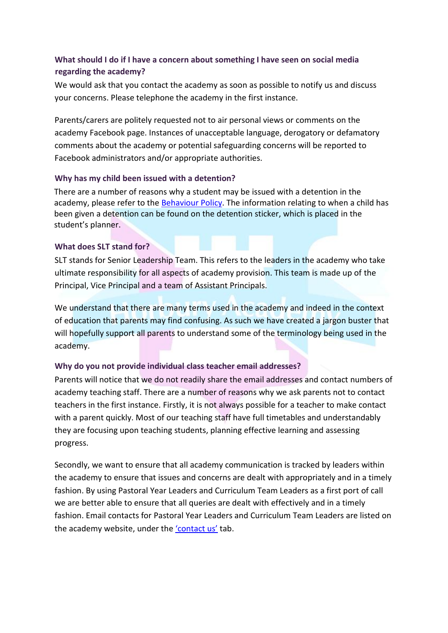## **What should I do if I have a concern about something I have seen on social media regarding the academy?**

We would ask that you contact the academy as soon as possible to notify us and discuss your concerns. Please telephone the academy in the first instance.

Parents/carers are politely requested not to air personal views or comments on the academy Facebook page. Instances of unacceptable language, derogatory or defamatory comments about the academy or potential safeguarding concerns will be reported to Facebook administrators and/or appropriate authorities.

## **Why has my child been issued with a detention?**

There are a number of reasons why a student may be issued with a detention in the academy, please refer to the [Behaviour Policy.](https://horbury.accordmat.org/documents-policies/) The information relating to when a child has been given a detention can be found on the detention sticker, which is placed in the student's planner.

## **What does SLT stand for?**

SLT stands for Senior Leadership Team. This refers to the leaders in the academy who take ultimate responsibility for all aspects of academy provision. This team is made up of the Principal, Vice Principal and a team of Assistant Principals.

We understand that there are many terms used in the academy and indeed in the context of education that parents may find confusing. As such we have created a jargon buster that will hopefully support all parents to understand some of the terminology being used in the academy.

## **Why do you not provide individual class teacher email addresses?**

Parents will notice that we do not readily share the email addresses and contact numbers of academy teaching staff. There are a number of reasons why we ask parents not to contact teachers in the first instance. Firstly, it is not always possible for a teacher to make contact with a parent quickly. Most of our teaching staff have full timetables and understandably they are focusing upon teaching students, planning effective learning and assessing progress.

Secondly, we want to ensure that all academy communication is tracked by leaders within the academy to ensure that issues and concerns are dealt with appropriately and in a timely fashion. By using Pastoral Year Leaders and Curriculum Team Leaders as a first port of call we are better able to ensure that all queries are dealt with effectively and in a timely fashion. Email contacts for Pastoral Year Leaders and Curriculum Team Leaders are listed on the academy website, under the 'c[ontact us](https://horbury.accordmat.org/contactus/)' tab.